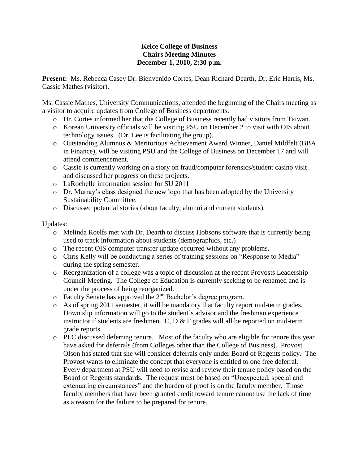## **Kelce College of Business Chairs Meeting Minutes December 1, 2010, 2:30 p.m.**

**Present:** Ms. Rebecca Casey Dr. Bienvenido Cortes, Dean Richard Dearth, Dr. Eric Harris, Ms. Cassie Mathes (visitor).

Ms. Cassie Mathes, University Communications, attended the beginning of the Chairs meeting as a visitor to acquire updates from College of Business departments.

- o Dr. Cortes informed her that the College of Business recently had visitors from Taiwan.
- o Korean University officials will be visiting PSU on December 2 to visit with OIS about technology issues. (Dr. Lee is facilitating the group).
- o Outstanding Alumnus & Meritorious Achievement Award Winner, Daniel Mildfelt (BBA in Finance), will be visiting PSU and the College of Business on December 17 and will attend commencement.
- o Cassie is currently working on a story on fraud/computer forensics/student casino visit and discussed her progress on these projects.
- o LaRochelle information session for SU 2011
- o Dr. Murray's class designed the new logo that has been adopted by the University Sustainability Committee.
- o Discussed potential stories (about faculty, alumni and current students).

## Updates:

- o Melinda Roelfs met with Dr. Dearth to discuss Hobsons software that is currently being used to track information about students (demographics, etc.)
- o The recent OIS computer transfer update occurred without any problems.
- o Chris Kelly will be conducting a series of training sessions on "Response to Media" during the spring semester.
- o Reorganization of a college was a topic of discussion at the recent Provosts Leadership Council Meeting. The College of Education is currently seeking to be renamed and is under the process of being reorganized.
- $\circ$  Faculty Senate has approved the  $2<sup>nd</sup>$  Bachelor's degree program.
- o As of spring 2011 semester, it will be mandatory that faculty report mid-term grades. Down slip information will go to the student's advisor and the freshman experience instructor if students are freshmen. C,  $D \& F$  grades will all be reported on mid-term grade reports.
- o PLC discussed deferring tenure. Most of the faculty who are eligible for tenure this year have asked for deferrals (from Colleges other than the College of Business). Provost Olson has stated that she will consider deferrals only under Board of Regents policy. The Provost wants to eliminate the concept that everyone is entitled to one free deferral. Every department at PSU will need to revise and review their tenure policy based on the Board of Regents standards. The request must be based on "Unexpected, special and extenuating circumstances" and the burden of proof is on the faculty member. Those faculty members that have been granted credit toward tenure cannot use the lack of time as a reason for the failure to be prepared for tenure.